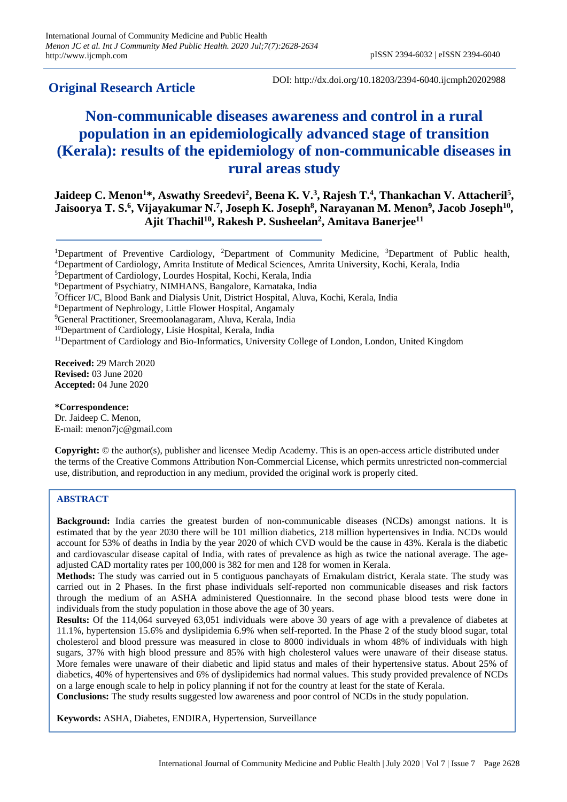# **Original Research Article**

DOI: http://dx.doi.org/10.18203/2394-6040.ijcmph20202988

# **Non-communicable diseases awareness and control in a rural population in an epidemiologically advanced stage of transition (Kerala): results of the epidemiology of non-communicable diseases in rural areas study**

**Jaideep C. Menon<sup>1\*</sup>, Aswathy Sreedevi<sup>2</sup>, Beena K. V.<sup>3</sup>, Rajesh T.<sup>4</sup>, Thankachan V. Attacheril<sup>5</sup>, Jaisoorya T. S. 6 , Vijayakumar N. 7 , Joseph K. Joseph<sup>8</sup> , Narayanan M. Menon<sup>9</sup> , Jacob Joseph<sup>10</sup> , Ajit Thachil<sup>10</sup>, Rakesh P. Susheelan<sup>2</sup> , Amitava Banerjee<sup>11</sup>**

**Received:** 29 March 2020 **Revised:** 03 June 2020 **Accepted:** 04 June 2020

**\*Correspondence:** Dr. Jaideep C. Menon, E-mail: menon7jc@gmail.com

**Copyright:** © the author(s), publisher and licensee Medip Academy. This is an open-access article distributed under the terms of the Creative Commons Attribution Non-Commercial License, which permits unrestricted non-commercial use, distribution, and reproduction in any medium, provided the original work is properly cited.

# **ABSTRACT**

**Background:** India carries the greatest burden of non-communicable diseases (NCDs) amongst nations. It is estimated that by the year 2030 there will be 101 million diabetics, 218 million hypertensives in India. NCDs would account for 53% of deaths in India by the year 2020 of which CVD would be the cause in 43%. Kerala is the diabetic and cardiovascular disease capital of India, with rates of prevalence as high as twice the national average. The ageadjusted CAD mortality rates per 100,000 is 382 for men and 128 for women in Kerala.

**Methods:** The study was carried out in 5 contiguous panchayats of Ernakulam district, Kerala state. The study was carried out in 2 Phases. In the first phase individuals self-reported non communicable diseases and risk factors through the medium of an ASHA administered Questionnaire. In the second phase blood tests were done in individuals from the study population in those above the age of 30 years.

**Results:** Of the 114,064 surveyed 63,051 individuals were above 30 years of age with a prevalence of diabetes at 11.1%, hypertension 15.6% and dyslipidemia 6.9% when self-reported. In the Phase 2 of the study blood sugar, total cholesterol and blood pressure was measured in close to 8000 individuals in whom 48% of individuals with high sugars, 37% with high blood pressure and 85% with high cholesterol values were unaware of their disease status. More females were unaware of their diabetic and lipid status and males of their hypertensive status. About 25% of diabetics, 40% of hypertensives and 6% of dyslipidemics had normal values. This study provided prevalence of NCDs on a large enough scale to help in policy planning if not for the country at least for the state of Kerala.

**Conclusions:** The study results suggested low awareness and poor control of NCDs in the study population.

**Keywords:** ASHA, Diabetes, ENDIRA, Hypertension, Surveillance

<sup>1</sup>Department of Preventive Cardiology, <sup>2</sup>Department of Community Medicine, <sup>3</sup>Department of Public health, <sup>4</sup>Department of Cardiology, Amrita Institute of Medical Sciences, Amrita University, Kochi, Kerala, India

<sup>5</sup>Department of Cardiology, Lourdes Hospital, Kochi, Kerala, India

<sup>6</sup>Department of Psychiatry, NIMHANS, Bangalore, Karnataka, India

<sup>7</sup>Officer I/C, Blood Bank and Dialysis Unit, District Hospital, Aluva, Kochi, Kerala, India

<sup>8</sup>Department of Nephrology, Little Flower Hospital, Angamaly

<sup>9</sup>General Practitioner, Sreemoolanagaram, Aluva, Kerala, India

<sup>&</sup>lt;sup>10</sup>Department of Cardiology, Lisie Hospital, Kerala, India

<sup>&</sup>lt;sup>11</sup>Department of Cardiology and Bio-Informatics, University College of London, London, United Kingdom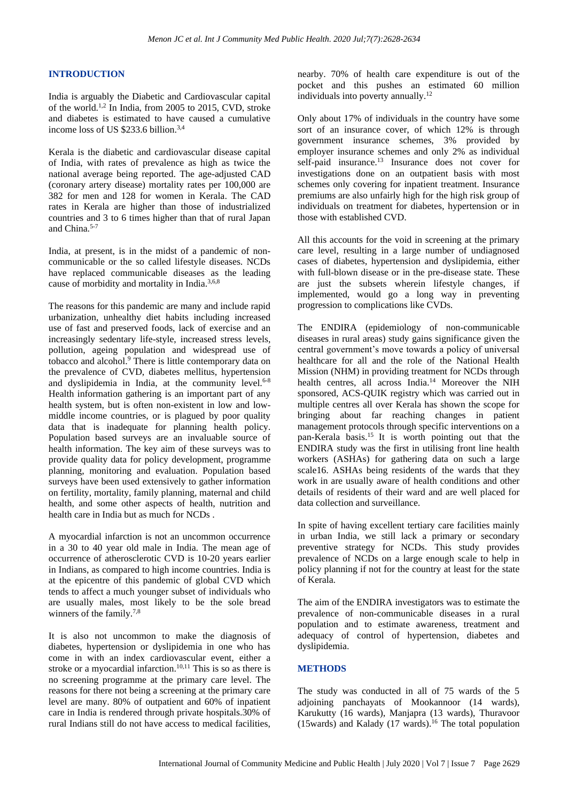# **INTRODUCTION**

India is arguably the Diabetic and Cardiovascular capital of the world.<sup>1,2</sup> In India, from 2005 to 2015, CVD, stroke and diabetes is estimated to have caused a cumulative income loss of US \$233.6 billion. 3,4

Kerala is the diabetic and cardiovascular disease capital of India, with rates of prevalence as high as twice the national average being reported. The age-adjusted CAD (coronary artery disease) mortality rates per 100,000 are 382 for men and 128 for women in Kerala. The CAD rates in Kerala are higher than those of industrialized countries and 3 to 6 times higher than that of rural Japan and China.<sup>5-7</sup>

India, at present, is in the midst of a pandemic of noncommunicable or the so called lifestyle diseases. NCDs have replaced communicable diseases as the leading cause of morbidity and mortality in India.3,6,8

The reasons for this pandemic are many and include rapid urbanization, unhealthy diet habits including increased use of fast and preserved foods, lack of exercise and an increasingly sedentary life-style, increased stress levels, pollution, ageing population and widespread use of tobacco and alcohol.<sup>9</sup> There is little contemporary data on the prevalence of CVD, diabetes mellitus, hypertension and dyslipidemia in India, at the community level. $6-8$ Health information gathering is an important part of any health system, but is often non-existent in low and lowmiddle income countries, or is plagued by poor quality data that is inadequate for planning health policy. Population based surveys are an invaluable source of health information. The key aim of these surveys was to provide quality data for policy development, programme planning, monitoring and evaluation. Population based surveys have been used extensively to gather information on fertility, mortality, family planning, maternal and child health, and some other aspects of health, nutrition and health care in India but as much for NCDs .

A myocardial infarction is not an uncommon occurrence in a 30 to 40 year old male in India. The mean age of occurrence of atherosclerotic CVD is 10-20 years earlier in Indians, as compared to high income countries. India is at the epicentre of this pandemic of global CVD which tends to affect a much younger subset of individuals who are usually males, most likely to be the sole bread winners of the family.<sup>7,8</sup>

It is also not uncommon to make the diagnosis of diabetes, hypertension or dyslipidemia in one who has come in with an index cardiovascular event, either a stroke or a myocardial infarction.<sup>10,11</sup> This is so as there is no screening programme at the primary care level. The reasons for there not being a screening at the primary care level are many. 80% of outpatient and 60% of inpatient care in India is rendered through private hospitals.30% of rural Indians still do not have access to medical facilities,

nearby. 70% of health care expenditure is out of the pocket and this pushes an estimated 60 million individuals into poverty annually. $12$ 

Only about 17% of individuals in the country have some sort of an insurance cover, of which 12% is through government insurance schemes, 3% provided by employer insurance schemes and only 2% as individual self-paid insurance.<sup>13</sup> Insurance does not cover for investigations done on an outpatient basis with most schemes only covering for inpatient treatment. Insurance premiums are also unfairly high for the high risk group of individuals on treatment for diabetes, hypertension or in those with established CVD.

All this accounts for the void in screening at the primary care level, resulting in a large number of undiagnosed cases of diabetes, hypertension and dyslipidemia, either with full-blown disease or in the pre-disease state. These are just the subsets wherein lifestyle changes, if implemented, would go a long way in preventing progression to complications like CVDs.

The ENDIRA (epidemiology of non-communicable diseases in rural areas) study gains significance given the central government's move towards a policy of universal healthcare for all and the role of the National Health Mission (NHM) in providing treatment for NCDs through health centres, all across India. <sup>14</sup> Moreover the NIH sponsored, ACS-QUIK registry which was carried out in multiple centres all over Kerala has shown the scope for bringing about far reaching changes in patient management protocols through specific interventions on a pan-Kerala basis. <sup>15</sup> It is worth pointing out that the ENDIRA study was the first in utilising front line health workers (ASHAs) for gathering data on such a large scale16. ASHAs being residents of the wards that they work in are usually aware of health conditions and other details of residents of their ward and are well placed for data collection and surveillance.

In spite of having excellent tertiary care facilities mainly in urban India, we still lack a primary or secondary preventive strategy for NCDs. This study provides prevalence of NCDs on a large enough scale to help in policy planning if not for the country at least for the state of Kerala.

The aim of the ENDIRA investigators was to estimate the prevalence of non-communicable diseases in a rural population and to estimate awareness, treatment and adequacy of control of hypertension, diabetes and dyslipidemia.

# **METHODS**

The study was conducted in all of 75 wards of the 5 adjoining panchayats of Mookannoor (14 wards), Karukutty (16 wards), Manjapra (13 wards), Thuravoor (15wards) and Kalady (17 wards). <sup>16</sup> The total population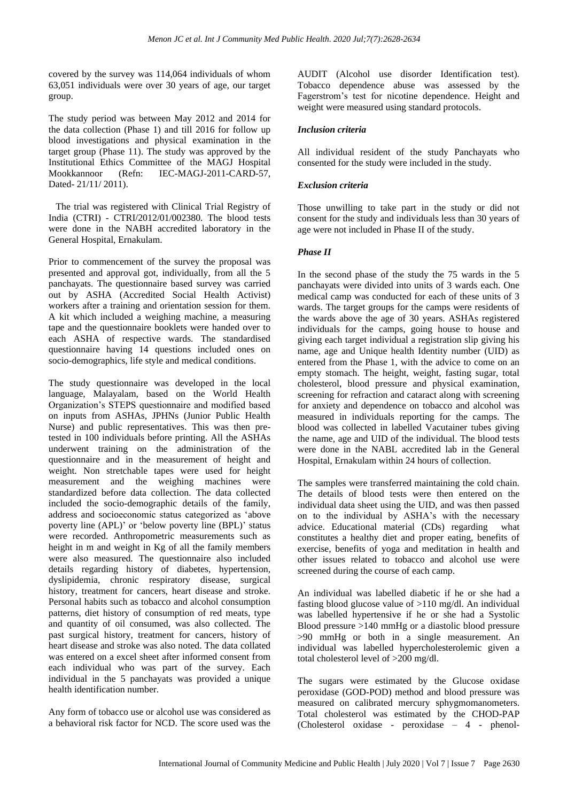covered by the survey was 114,064 individuals of whom 63,051 individuals were over 30 years of age, our target group.

The study period was between May 2012 and 2014 for the data collection (Phase 1) and till 2016 for follow up blood investigations and physical examination in the target group (Phase 11). The study was approved by the Institutional Ethics Committee of the MAGJ Hospital Mookkannoor (Refn: IEC-MAGJ-2011-CARD-57, Dated- 21/11/ 2011).

 The trial was registered with Clinical Trial Registry of India (CTRI) - CTRI/2012/01/002380. The blood tests were done in the NABH accredited laboratory in the General Hospital, Ernakulam.

Prior to commencement of the survey the proposal was presented and approval got, individually, from all the 5 panchayats. The questionnaire based survey was carried out by ASHA (Accredited Social Health Activist) workers after a training and orientation session for them. A kit which included a weighing machine, a measuring tape and the questionnaire booklets were handed over to each ASHA of respective wards. The standardised questionnaire having 14 questions included ones on socio-demographics, life style and medical conditions.

The study questionnaire was developed in the local language, Malayalam, based on the World Health Organization's STEPS questionnaire and modified based on inputs from ASHAs, JPHNs (Junior Public Health Nurse) and public representatives. This was then pretested in 100 individuals before printing. All the ASHAs underwent training on the administration of the questionnaire and in the measurement of height and weight. Non stretchable tapes were used for height measurement and the weighing machines were standardized before data collection. The data collected included the socio-demographic details of the family, address and socioeconomic status categorized as 'above poverty line (APL)' or 'below poverty line (BPL)' status were recorded. Anthropometric measurements such as height in m and weight in Kg of all the family members were also measured. The questionnaire also included details regarding history of diabetes, hypertension, dyslipidemia, chronic respiratory disease, surgical history, treatment for cancers, heart disease and stroke. Personal habits such as tobacco and alcohol consumption patterns, diet history of consumption of red meats, type and quantity of oil consumed, was also collected. The past surgical history, treatment for cancers, history of heart disease and stroke was also noted. The data collated was entered on a excel sheet after informed consent from each individual who was part of the survey. Each individual in the 5 panchayats was provided a unique health identification number.

Any form of tobacco use or alcohol use was considered as a behavioral risk factor for NCD. The score used was the AUDIT (Alcohol use disorder Identification test). Tobacco dependence abuse was assessed by the Fagerstrom's test for nicotine dependence. Height and weight were measured using standard protocols.

# *Inclusion criteria*

All individual resident of the study Panchayats who consented for the study were included in the study.

# *Exclusion criteria*

Those unwilling to take part in the study or did not consent for the study and individuals less than 30 years of age were not included in Phase II of the study.

# *Phase II*

In the second phase of the study the 75 wards in the 5 panchayats were divided into units of 3 wards each. One medical camp was conducted for each of these units of 3 wards. The target groups for the camps were residents of the wards above the age of 30 years. ASHAs registered individuals for the camps, going house to house and giving each target individual a registration slip giving his name, age and Unique health Identity number (UID) as entered from the Phase 1, with the advice to come on an empty stomach. The height, weight, fasting sugar, total cholesterol, blood pressure and physical examination, screening for refraction and cataract along with screening for anxiety and dependence on tobacco and alcohol was measured in individuals reporting for the camps. The blood was collected in labelled Vacutainer tubes giving the name, age and UID of the individual. The blood tests were done in the NABL accredited lab in the General Hospital, Ernakulam within 24 hours of collection.

The samples were transferred maintaining the cold chain. The details of blood tests were then entered on the individual data sheet using the UID, and was then passed on to the individual by ASHA's with the necessary advice. Educational material (CDs) regarding what constitutes a healthy diet and proper eating, benefits of exercise, benefits of yoga and meditation in health and other issues related to tobacco and alcohol use were screened during the course of each camp.

An individual was labelled diabetic if he or she had a fasting blood glucose value of >110 mg/dl. An individual was labelled hypertensive if he or she had a Systolic Blood pressure >140 mmHg or a diastolic blood pressure >90 mmHg or both in a single measurement. An individual was labelled hypercholesterolemic given a total cholesterol level of >200 mg/dl.

The sugars were estimated by the Glucose oxidase peroxidase (GOD-POD) method and blood pressure was measured on calibrated mercury sphygmomanometers. Total cholesterol was estimated by the CHOD-PAP (Cholesterol oxidase - peroxidase – 4 - phenol-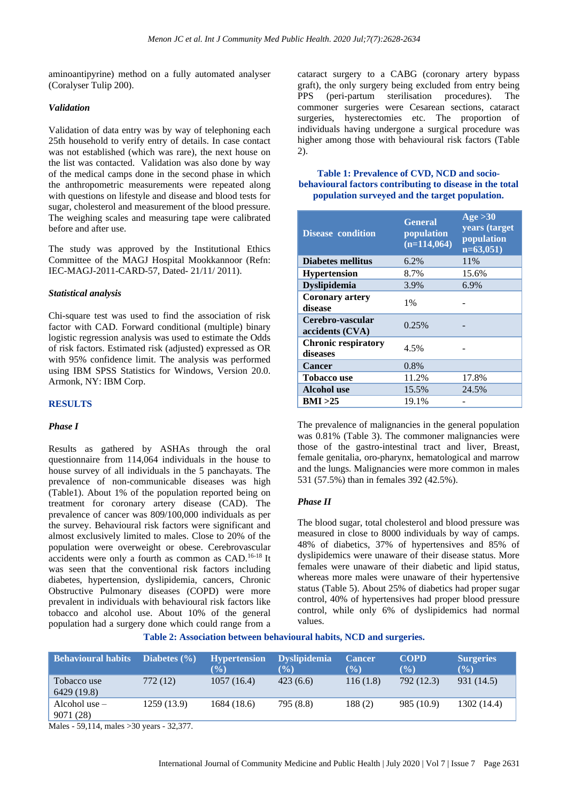aminoantipyrine) method on a fully automated analyser (Coralyser Tulip 200).

# *Validation*

Validation of data entry was by way of telephoning each 25th household to verify entry of details. In case contact was not established (which was rare), the next house on the list was contacted. Validation was also done by way of the medical camps done in the second phase in which the anthropometric measurements were repeated along with questions on lifestyle and disease and blood tests for sugar, cholesterol and measurement of the blood pressure. The weighing scales and measuring tape were calibrated before and after use.

The study was approved by the Institutional Ethics Committee of the MAGJ Hospital Mookkannoor (Refn: IEC-MAGJ-2011-CARD-57, Dated- 21/11/ 2011).

# *Statistical analysis*

Chi-square test was used to find the association of risk factor with CAD. Forward conditional (multiple) binary logistic regression analysis was used to estimate the Odds of risk factors. Estimated risk (adjusted) expressed as OR with 95% confidence limit. The analysis was performed using IBM SPSS Statistics for Windows, Version 20.0. Armonk, NY: IBM Corp.

# **RESULTS**

# *Phase I*

Results as gathered by ASHAs through the oral questionnaire from 114,064 individuals in the house to house survey of all individuals in the 5 panchayats. The prevalence of non-communicable diseases was high (Table1). About 1% of the population reported being on treatment for coronary artery disease (CAD). The prevalence of cancer was 809/100,000 individuals as per the survey. Behavioural risk factors were significant and almost exclusively limited to males. Close to 20% of the population were overweight or obese. Cerebrovascular accidents were only a fourth as common as CAD.16-18 It was seen that the conventional risk factors including diabetes, hypertension, dyslipidemia, cancers, Chronic Obstructive Pulmonary diseases (COPD) were more prevalent in individuals with behavioural risk factors like tobacco and alcohol use. About 10% of the general population had a surgery done which could range from a

cataract surgery to a CABG (coronary artery bypass graft), the only surgery being excluded from entry being PPS (peri-partum sterilisation procedures). The commoner surgeries were Cesarean sections, cataract surgeries, hysterectomies etc. The proportion of individuals having undergone a surgical procedure was higher among those with behavioural risk factors (Table 2).

# **Table 1: Prevalence of CVD, NCD and sociobehavioural factors contributing to disease in the total population surveyed and the target population.**

| <b>Disease condition</b>               | <b>General</b><br>population<br>$(n=114,064)$ | Age > 30<br>years (target<br>population<br>$n=63,051$ |
|----------------------------------------|-----------------------------------------------|-------------------------------------------------------|
| <b>Diabetes mellitus</b>               | 6.2%                                          | 11%                                                   |
| <b>Hypertension</b>                    | 8.7%                                          | 15.6%                                                 |
| <b>Dyslipidemia</b>                    | 3.9%                                          | 6.9%                                                  |
| <b>Coronary artery</b><br>disease      | $1\%$                                         |                                                       |
| Cerebro-vascular<br>accidents (CVA)    | 0.25%                                         |                                                       |
| <b>Chronic respiratory</b><br>diseases | 4.5%                                          |                                                       |
| <b>Cancer</b>                          | 0.8%                                          |                                                       |
| <b>Tobacco use</b>                     | 11.2%                                         | 17.8%                                                 |
| <b>Alcohol</b> use                     | 15.5%                                         | 24.5%                                                 |
| BMI >25                                | 19.1%                                         |                                                       |

The prevalence of malignancies in the general population was  $0.81\%$  (Table 3). The commoner malignancies were those of the gastro-intestinal tract and liver, Breast, female genitalia, oro-pharynx, hematological and marrow and the lungs. Malignancies were more common in males 531 (57.5%) than in females 392 (42.5%).

# *Phase II*

The blood sugar, total cholesterol and blood pressure was measured in close to 8000 individuals by way of camps. 48% of diabetics, 37% of hypertensives and 85% of dyslipidemics were unaware of their disease status. More females were unaware of their diabetic and lipid status, whereas more males were unaware of their hypertensive status (Table 5). About 25% of diabetics had proper sugar control, 40% of hypertensives had proper blood pressure control, while only 6% of dyslipidemics had normal values.

**Table 2: Association between behavioural habits, NCD and surgeries.**

| <b>Behavioural habits</b>    | Diabetes $(\% )$ | <b>Hypertension</b><br>$(\%)$ | <b>Dyslipidemia</b><br>$(\%)$ | <b>Cancer</b><br>$(\%)$ | <b>COPD</b><br>$(\%)$ | <b>Surgeries</b><br>$(\%)$ |
|------------------------------|------------------|-------------------------------|-------------------------------|-------------------------|-----------------------|----------------------------|
| Tobacco use<br>6429 (19.8)   | 772 (12)         | 1057(16.4)                    | 423(6.6)                      | 116(1.8)                | 792 (12.3)            | 931 (14.5)                 |
| Alcohol use $-$<br>9071 (28) | 1259 (13.9)      | 1684 (18.6)                   | 795 (8.8)                     | 188(2)                  | 985 (10.9)            | 1302 (14.4)                |

Males - 59,114, males >30 years - 32,377.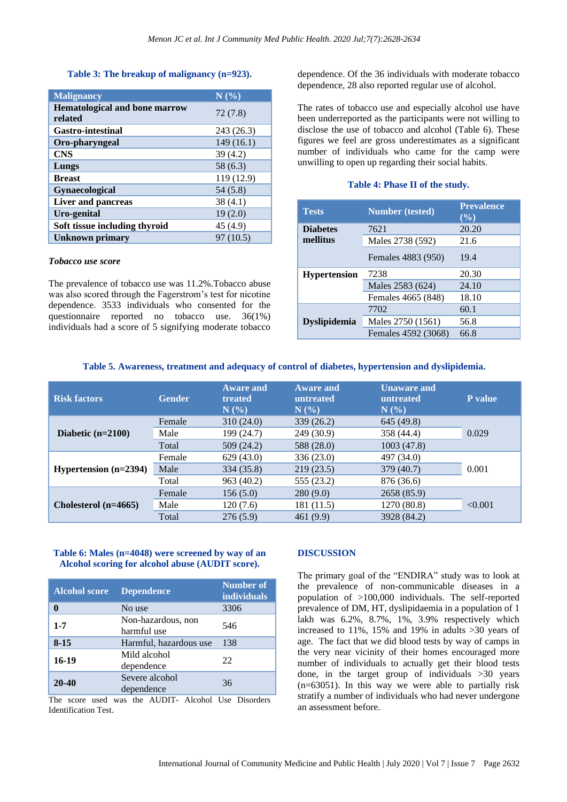# **Table 3: The breakup of malignancy (n=923).**

| <b>Malignancy</b>                               | N(%)       |
|-------------------------------------------------|------------|
| <b>Hematological and bone marrow</b><br>related | 72(7.8)    |
| <b>Gastro-intestinal</b>                        | 243 (26.3) |
| Oro-pharyngeal                                  | 149(16.1)  |
| <b>CNS</b>                                      | 39(4.2)    |
| Lungs                                           | 58 (6.3)   |
| <b>Breast</b>                                   | 119 (12.9) |
| Gynaecological                                  | 54(5.8)    |
| <b>Liver and pancreas</b>                       | 38(4.1)    |
| Uro-genital                                     | 19(2.0)    |
| Soft tissue including thyroid                   | 45 (4.9)   |
| Unknown primary                                 | 97 (10.5)  |

#### *Tobacco use score*

The prevalence of tobacco use was 11.2%.Tobacco abuse was also scored through the Fagerstrom's test for nicotine dependence. 3533 individuals who consented for the questionnaire reported no tobacco use. 36(1%) individuals had a score of 5 signifying moderate tobacco dependence. Of the 36 individuals with moderate tobacco dependence, 28 also reported regular use of alcohol.

The rates of tobacco use and especially alcohol use have been underreported as the participants were not willing to disclose the use of tobacco and alcohol (Table 6). These figures we feel are gross underestimates as a significant number of individuals who came for the camp were unwilling to open up regarding their social habits.

# **Table 4: Phase II of the study.**

| <b>Tests</b>        | <b>Number</b> (tested) | <b>Prevalence</b><br>$(\frac{6}{6})$ |  |
|---------------------|------------------------|--------------------------------------|--|
| <b>Diabetes</b>     | 7621                   | 20.20                                |  |
| mellitus            | Males 2738 (592)       | 21.6                                 |  |
|                     | Females 4883 (950)     | 19.4                                 |  |
| <b>Hypertension</b> | 7238                   | 20.30                                |  |
|                     | Males 2583 (624)       | 24.10                                |  |
|                     | Females 4665 (848)     | 18.10                                |  |
|                     | 7702                   | 60.1                                 |  |
| <b>Dyslipidemia</b> | Males 2750 (1561)      | 56.8                                 |  |
|                     | Females 4592 (3068)    | 66.8                                 |  |

#### **Table 5. Awareness, treatment and adequacy of control of diabetes, hypertension and dyslipidemia.**

| <b>Risk factors</b>            | <b>Gender</b> | <b>Aware and</b><br>treated<br>N(% | <b>Aware and</b><br>untreated<br>$N(\%)$ | <b>Unaware and</b><br>untreated<br>$N(\%)$ | P value |
|--------------------------------|---------------|------------------------------------|------------------------------------------|--------------------------------------------|---------|
| Diabetic $(n=2100)$            | Female        | 310(24.0)                          | 339(26.2)                                | 645 (49.8)                                 | 0.029   |
|                                | Male          | 199 (24.7)                         | 249 (30.9)                               | 358 (44.4)                                 |         |
|                                | Total         | 509(24.2)                          | 588 (28.0)                               | 1003 (47.8)                                |         |
| <b>Hypertension</b> $(n=2394)$ | Female        | 629(43.0)                          | 336 (23.0)                               | 497 (34.0)                                 | 0.001   |
|                                | Male          | 334 (35.8)                         | 219(23.5)                                | 379 (40.7)                                 |         |
|                                | Total         | 963 (40.2)                         | 555 (23.2)                               | 876 (36.6)                                 |         |
| Cholesterol $(n=4665)$         | Female        | 156(5.0)                           | 280(9.0)                                 | 2658 (85.9)                                | < 0.001 |
|                                | Male          | 120(7.6)                           | 181 (11.5)                               | 1270 (80.8)                                |         |
|                                | Total         | 276(5.9)                           | 461(9.9)                                 | 3928 (84.2)                                |         |

#### **Table 6: Males (n=4048) were screened by way of an Alcohol scoring for alcohol abuse (AUDIT score).**

| <b>Alcohol score</b> | <b>Dependence</b>                 | <b>Number of</b><br><b>individuals</b> |  |
|----------------------|-----------------------------------|----------------------------------------|--|
|                      | No use                            | 3306                                   |  |
| $1 - 7$              | Non-hazardous, non<br>harmful use | 546                                    |  |
| $8 - 15$             | Harmful, hazardous use            | 138                                    |  |
| 16-19                | Mild alcohol<br>dependence        | 22                                     |  |
| $20 - 40$            | Severe alcohol<br>dependence      | 36                                     |  |

The score used was the AUDIT- Alcohol Use Disorders Identification Test.

# **DISCUSSION**

The primary goal of the "ENDIRA" study was to look at the prevalence of non-communicable diseases in a population of >100,000 individuals. The self-reported prevalence of DM, HT, dyslipidaemia in a population of 1 lakh was 6.2%, 8.7%, 1%, 3.9% respectively which increased to 11%, 15% and 19% in adults >30 years of age. The fact that we did blood tests by way of camps in the very near vicinity of their homes encouraged more number of individuals to actually get their blood tests done, in the target group of individuals >30 years (n=63051). In this way we were able to partially risk stratify a number of individuals who had never undergone an assessment before.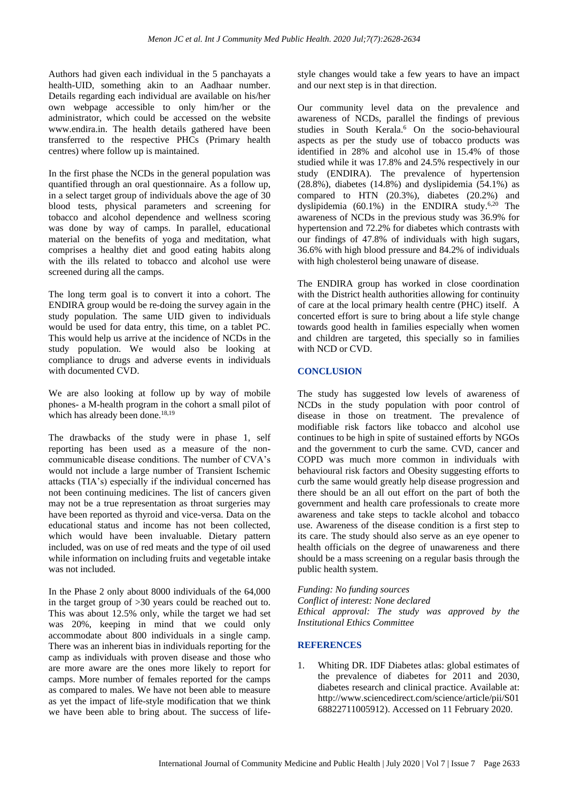Authors had given each individual in the 5 panchayats a health-UID, something akin to an Aadhaar number. Details regarding each individual are available on his/her own webpage accessible to only him/her or the administrator, which could be accessed on the website www.endira.in. The health details gathered have been transferred to the respective PHCs (Primary health centres) where follow up is maintained.

In the first phase the NCDs in the general population was quantified through an oral questionnaire. As a follow up, in a select target group of individuals above the age of 30 blood tests, physical parameters and screening for tobacco and alcohol dependence and wellness scoring was done by way of camps. In parallel, educational material on the benefits of yoga and meditation, what comprises a healthy diet and good eating habits along with the ills related to tobacco and alcohol use were screened during all the camps.

The long term goal is to convert it into a cohort. The ENDIRA group would be re-doing the survey again in the study population. The same UID given to individuals would be used for data entry, this time, on a tablet PC. This would help us arrive at the incidence of NCDs in the study population. We would also be looking at compliance to drugs and adverse events in individuals with documented CVD.

We are also looking at follow up by way of mobile phones- a M-health program in the cohort a small pilot of which has already been done.<sup>18,19</sup>

The drawbacks of the study were in phase 1, self reporting has been used as a measure of the noncommunicable disease conditions. The number of CVA's would not include a large number of Transient Ischemic attacks (TIA's) especially if the individual concerned has not been continuing medicines. The list of cancers given may not be a true representation as throat surgeries may have been reported as thyroid and vice-versa. Data on the educational status and income has not been collected, which would have been invaluable. Dietary pattern included, was on use of red meats and the type of oil used while information on including fruits and vegetable intake was not included.

In the Phase 2 only about 8000 individuals of the 64,000 in the target group of >30 years could be reached out to. This was about 12.5% only, while the target we had set was 20%, keeping in mind that we could only accommodate about 800 individuals in a single camp. There was an inherent bias in individuals reporting for the camp as individuals with proven disease and those who are more aware are the ones more likely to report for camps. More number of females reported for the camps as compared to males. We have not been able to measure as yet the impact of life-style modification that we think we have been able to bring about. The success of lifestyle changes would take a few years to have an impact and our next step is in that direction.

Our community level data on the prevalence and awareness of NCDs, parallel the findings of previous studies in South Kerala.<sup>6</sup> On the socio-behavioural aspects as per the study use of tobacco products was identified in 28% and alcohol use in 15.4% of those studied while it was 17.8% and 24.5% respectively in our study (ENDIRA). The prevalence of hypertension  $(28.8\%)$ , diabetes  $(14.8\%)$  and dyslipidemia  $(54.1\%)$  as compared to HTN (20.3%), diabetes (20.2%) and dyslipidemia  $(60.1\%)$  in the ENDIRA study.<sup>6,20</sup> The awareness of NCDs in the previous study was 36.9% for hypertension and 72.2% for diabetes which contrasts with our findings of 47.8% of individuals with high sugars, 36.6% with high blood pressure and 84.2% of individuals with high cholesterol being unaware of disease.

The ENDIRA group has worked in close coordination with the District health authorities allowing for continuity of care at the local primary health centre (PHC) itself. A concerted effort is sure to bring about a life style change towards good health in families especially when women and children are targeted, this specially so in families with NCD or CVD.

# **CONCLUSION**

The study has suggested low levels of awareness of NCDs in the study population with poor control of disease in those on treatment. The prevalence of modifiable risk factors like tobacco and alcohol use continues to be high in spite of sustained efforts by NGOs and the government to curb the same. CVD, cancer and COPD was much more common in individuals with behavioural risk factors and Obesity suggesting efforts to curb the same would greatly help disease progression and there should be an all out effort on the part of both the government and health care professionals to create more awareness and take steps to tackle alcohol and tobacco use. Awareness of the disease condition is a first step to its care. The study should also serve as an eye opener to health officials on the degree of unawareness and there should be a mass screening on a regular basis through the public health system.

*Funding: No funding sources Conflict of interest: None declared Ethical approval: The study was approved by the Institutional Ethics Committee*

# **REFERENCES**

1. Whiting DR. IDF Diabetes atlas: global estimates of the prevalence of diabetes for 2011 and 2030, diabetes research and clinical practice. Available at: http://www.sciencedirect.com/science/article/pii/S01 68822711005912). Accessed on 11 February 2020.